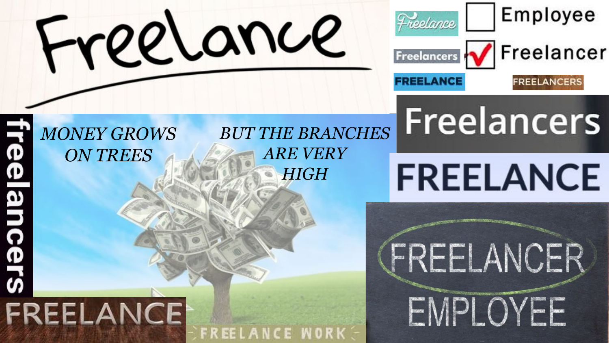



#### *MONEY GROWS ON TREES*

FREELANCE

**O** 

O<br>SJS

*BUT THE BRANCHES ARE VERY HIGH*

FREELANCE

# **FREELANCE**

**Freelancers** 

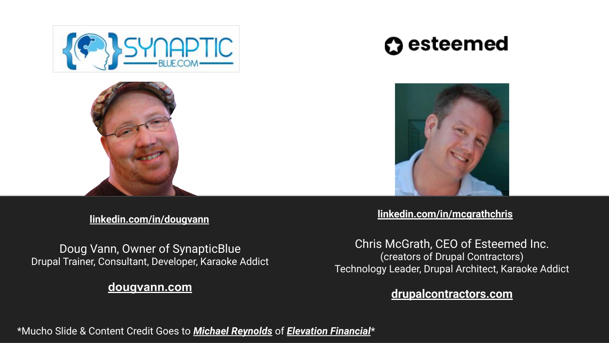

### **O** esteemed



Doug Vann, Owner of SynapticBlue Drupal Trainer, Consultant, Developer, Karaoke Addict

#### **[dougvann.com](https://dougvann.com/)**

**[linkedin.com/in/dougvann](https://www.linkedin.com/in/dougvann/) [linkedin.com/in/mcgrathchris](https://www.linkedin.com/in/mcgrathchris/)**

Chris McGrath, CEO of Esteemed Inc. (creators of Drupal Contractors) Technology Leader, Drupal Architect, Karaoke Addict

#### **[drupalcontractors.com](https://www.drupalcontractors.com/)**

\*Mucho Slide & Content Credit Goes to *[Michael Reynolds](https://www.linkedin.com/in/mbreyno/)* of *[Elevation Financial](https://www.elevationfinancial.com/)*\*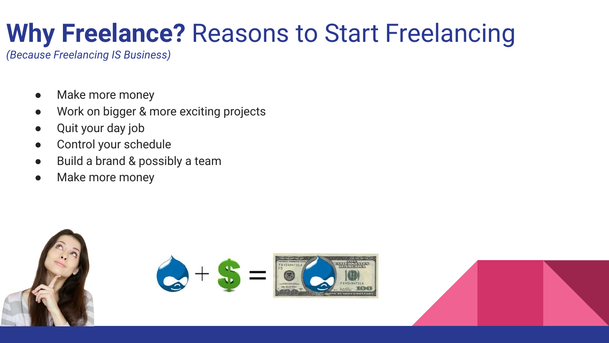### **Why Freelance?** Reasons to Start Freelancing

*(Because Freelancing IS Business)*

- Make more money
- Work on bigger & more exciting projects
- Quit your day job
- Control your schedule
- Build a brand & possibly a team
- Make more money

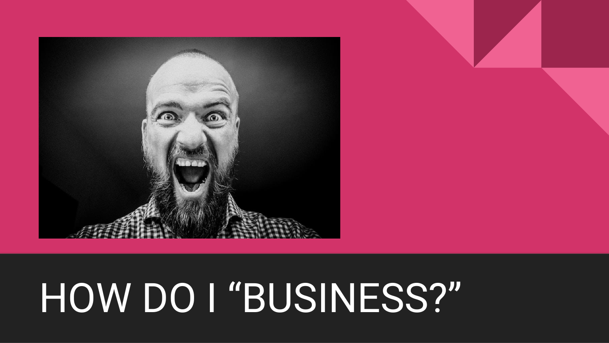

# HOW DO I "BUSINESS?"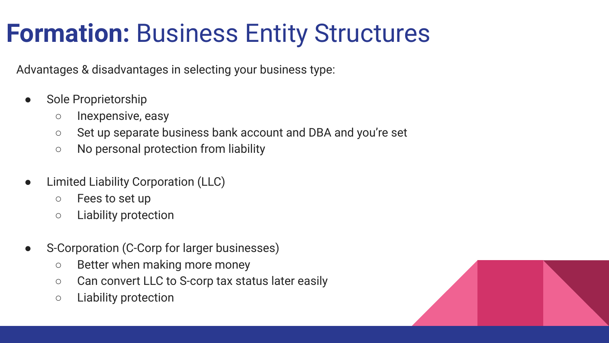### **Formation:** Business Entity Structures

Advantages & disadvantages in selecting your business type:

- Sole Proprietorship
	- Inexpensive, easy
	- Set up separate business bank account and DBA and you're set
	- No personal protection from liability
- **Limited Liability Corporation (LLC)** 
	- Fees to set up
	- Liability protection
- S-Corporation (C-Corp for larger businesses)
	- Better when making more money
	- Can convert LLC to S-corp tax status later easily
	- Liability protection

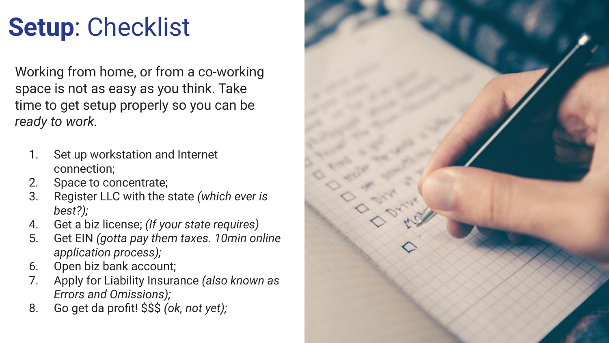## **Setup**: Checklist

Working from home, or from a co-working space is not as easy as you think. Take time to get setup properly so you can be *ready to work.*

- 1. Set up workstation and Internet connection;
- 2. Space to concentrate;
- 3. Register LLC with the state *(which ever is best?);*
- 4. Get a biz license; *(If your state requires)*
- 5. Get EIN *(gotta pay them taxes. 10min online application process);*
- 6. Open biz bank account;
- 7. Apply for Liability Insurance *(also known as Errors and Omissions);*
- 8. Go get da profit! \$\$\$ *(ok, not yet);*

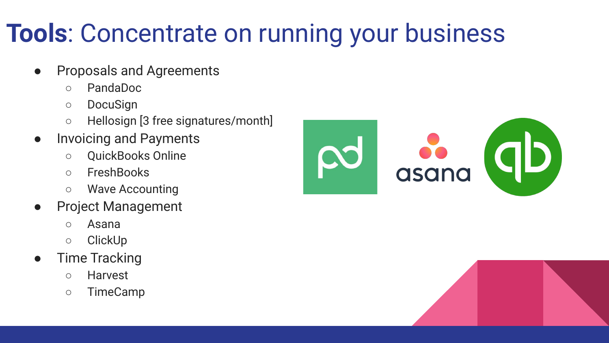### **Tools**: Concentrate on running your business

- Proposals and Agreements
	- PandaDoc
	- DocuSign
	- Hellosign [3 free signatures/month]
- Invoicing and Payments
	- QuickBooks Online
	- FreshBooks
	- Wave Accounting
- Project Management
	- Asana
	- ClickUp
- Time Tracking
	- Harvest
	- TimeCamp



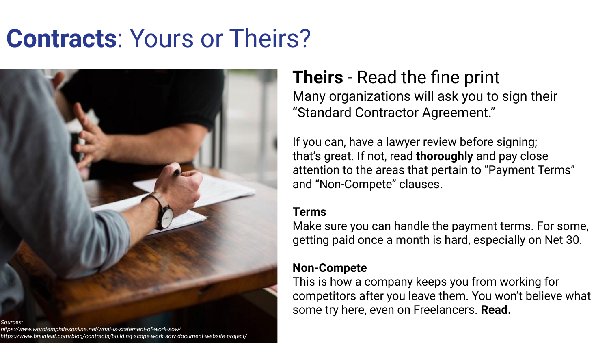### **Contracts**: Yours or Theirs?



#### **Theirs** - Read the fine print

Many organizations will ask you to sign their "Standard Contractor Agreement."

If you can, have a lawyer review before signing; that's great. If not, read **thoroughly** and pay close attention to the areas that pertain to "Payment Terms" and "Non-Compete" clauses.

#### **Terms**

Make sure you can handle the payment terms. For some, getting paid once a month is hard, especially on Net 30.

#### **Non-Compete**

This is how a company keeps you from working for competitors after you leave them. You won't believe what some try here, even on Freelancers. **Read.**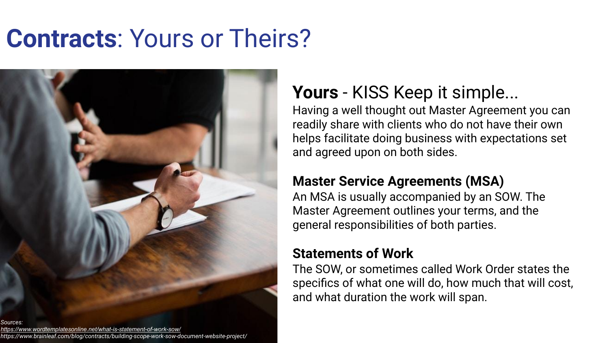### **Contracts**: Yours or Theirs?



### **Yours** - KISS Keep it simple...

Having a well thought out Master Agreement you can readily share with clients who do not have their own helps facilitate doing business with expectations set and agreed upon on both sides.

#### **Master Service Agreements (MSA)**

An MSA is usually accompanied by an SOW. The Master Agreement outlines your terms, and the general responsibilities of both parties.

#### **Statements of Work**

The SOW, or sometimes called Work Order states the specifics of what one will do, how much that will cost, and what duration the work will span.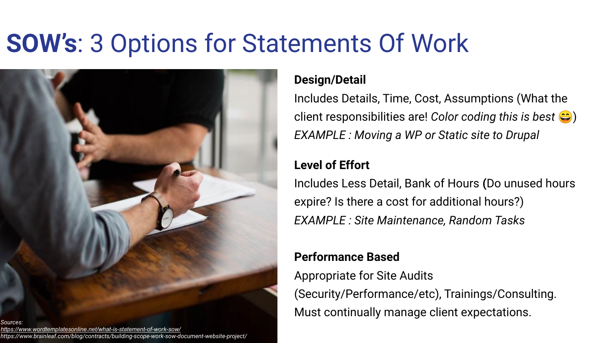### **SOW's**: 3 Options for Statements Of Work



#### **Design/Detail**

Includes Details, Time, Cost, Assumptions (What the client responsibilities are! *Color coding this is best* ) *EXAMPLE : Moving a WP or Static site to Drupal*

#### **Level of Effort**

Includes Less Detail, Bank of Hours **(**Do unused hours expire? Is there a cost for additional hours?) *EXAMPLE : Site Maintenance, Random Tasks*

#### **Performance Based**

Appropriate for Site Audits (Security/Performance/etc), Trainings/Consulting. Must continually manage client expectations.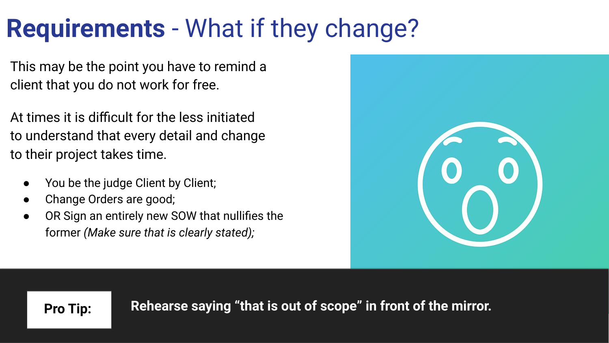### **Requirements** - What if they change?

This may be the point you have to remind a client that you do not work for free.

At times it is difficult for the less initiated to understand that every detail and change to their project takes time.

- You be the judge Client by Client;
- Change Orders are good;
- OR Sign an entirely new SOW that nullifies the former *(Make sure that is clearly stated);*



**Pro Tip: Rehearse saying "that is out of scope" in front of the mirror.**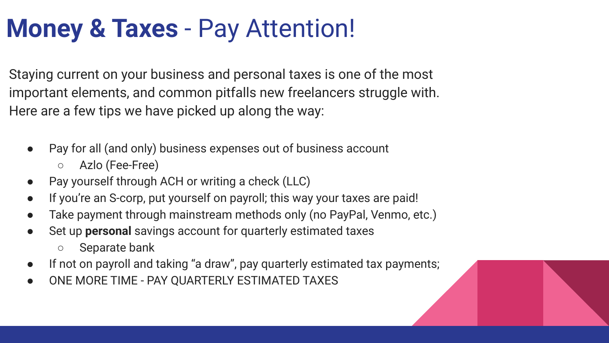### **Money & Taxes** - Pay Attention!

Staying current on your business and personal taxes is one of the most important elements, and common pitfalls new freelancers struggle with. Here are a few tips we have picked up along the way:

- Pay for all (and only) business expenses out of business account
	- Azlo (Fee-Free)
- Pay yourself through ACH or writing a check (LLC)
- If you're an S-corp, put yourself on payroll; this way your taxes are paid!
- Take payment through mainstream methods only (no PayPal, Venmo, etc.)
- Set up **personal** savings account for quarterly estimated taxes
	- Separate bank
- If not on payroll and taking "a draw", pay quarterly estimated tax payments;
- ONE MORE TIME PAY QUARTERLY ESTIMATED TAXES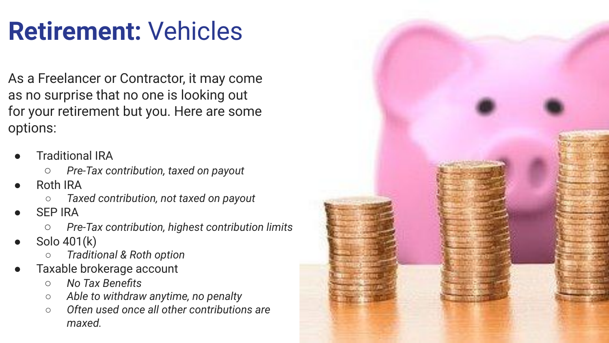### **Retirement:** Vehicles

As a Freelancer or Contractor, it may come as no surprise that no one is looking out for your retirement but you. Here are some options:

- **Traditional IRA** 
	- *Pre-Tax contribution, taxed on payout*
- Roth IRA
	- *Taxed contribution, not taxed on payout*
- **SEP IRA** 
	- *Pre-Tax contribution, highest contribution limits*
- Solo 401(k)
	- *○ Traditional & Roth option*
- Taxable brokerage account
	- *No Tax Benefits*
	- *○ Able to withdraw anytime, no penalty*
	- *○ Often used once all other contributions are maxed.*

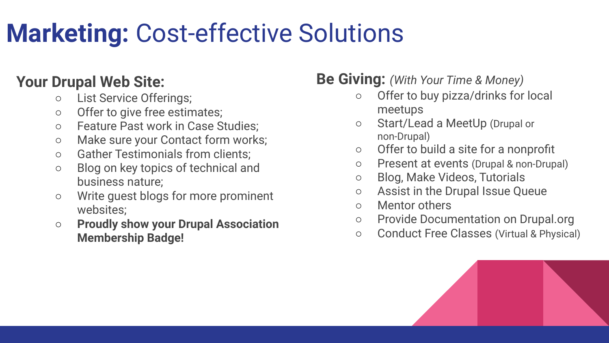## **Marketing:** Cost-effective Solutions

#### **Your Drupal Web Site:**

- List Service Offerings;
- Offer to give free estimates;
- Feature Past work in Case Studies;
- Make sure your Contact form works;
- Gather Testimonials from clients;
- Blog on key topics of technical and business nature;
- Write guest blogs for more prominent websites;
- **Proudly show your Drupal Association Membership Badge!**

#### **Be Giving:** *(With Your Time & Money)*

- Offer to buy pizza/drinks for local meetups
- Start/Lead a MeetUp (Drupal or non-Drupal)
- Offer to build a site for a nonprofit
- Present at events (Drupal & non-Drupal)
- Blog, Make Videos, Tutorials
- Assist in the Drupal Issue Queue
- Mentor others
- Provide Documentation on Drupal.org
- Conduct Free Classes (Virtual & Physical)

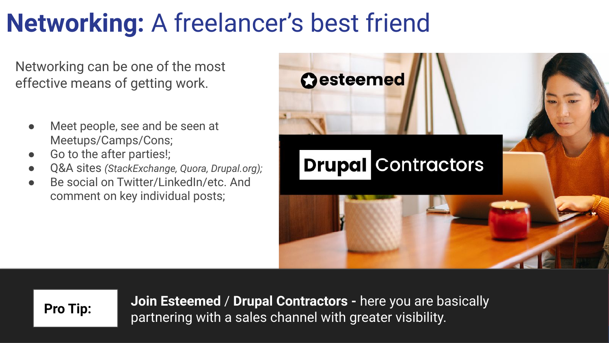### **Networking:** A freelancer's best friend

Networking can be one of the most effective means of getting work.

- Meet people, see and be seen at Meetups/Camps/Cons;
- Go to the after parties!;
- Q&A sites *(StackExchange, Quora, Drupal.org);*
- Be social on Twitter/LinkedIn/etc. And comment on key individual posts;



**Join Esteemed** / **Drupal Contractors -** here you are basically partnering with a sales channel with greater visibility. **Pro Tip:**